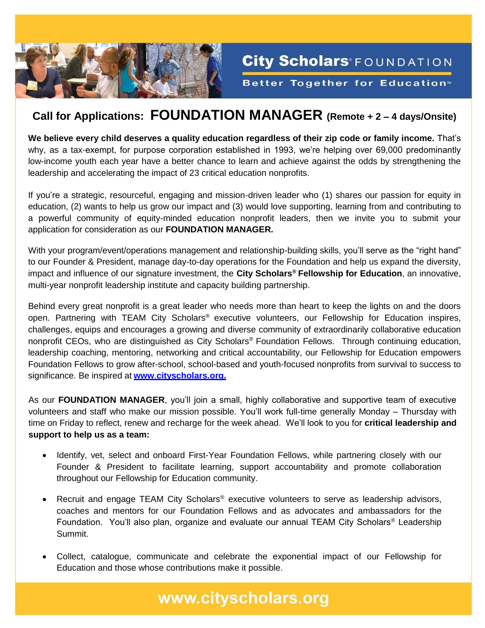

## **Call for Applications: FOUNDATION MANAGER (Remote + 2 – 4 days/Onsite)**

City Scholars®FOUNDATION

**Better Together for Education**<sup>™</sup>

**We believe every child deserves a quality education regardless of their zip code or family income.** That's why, as a tax-exempt, for purpose corporation established in 1993, we're helping over 69,000 predominantly low-income youth each year have a better chance to learn and achieve against the odds by strengthening the leadership and accelerating the impact of 23 critical education nonprofits.

If you're a strategic, resourceful, engaging and mission-driven leader who (1) shares our passion for equity in education, (2) wants to help us grow our impact and (3) would love supporting, learning from and contributing to a powerful community of equity-minded education nonprofit leaders, then we invite you to submit your application for consideration as our **FOUNDATION MANAGER.**

With your program/event/operations management and relationship-building skills, you'll serve as the "right hand" to our Founder & President, manage day-to-day operations for the Foundation and help us expand the diversity, impact and influence of our signature investment, the **City Scholars® Fellowship for Education**, an innovative, multi-year nonprofit leadership institute and capacity building partnership.

Behind every great nonprofit is a great leader who needs more than heart to keep the lights on and the doors open. Partnering with TEAM City Scholars® executive volunteers, our Fellowship for Education inspires, challenges, equips and encourages a growing and diverse community of extraordinarily collaborative education nonprofit CEOs, who are distinguished as City Scholars® Foundation Fellows. Through continuing education, leadership coaching, mentoring, networking and critical accountability, our Fellowship for Education empowers Foundation Fellows to grow after-school, school-based and youth-focused nonprofits from survival to success to significance. Be inspired at **www**.**[cityscholars.org.](http://www.cityscholars.org/)**

As our **FOUNDATION MANAGER**, you'll join a small, highly collaborative and supportive team of executive volunteers and staff who make our mission possible. You'll work full-time generally Monday – Thursday with time on Friday to reflect, renew and recharge for the week ahead. We'll look to you for **critical leadership and support to help us as a team:**

- Identify, vet, select and onboard First-Year Foundation Fellows, while partnering closely with our Founder & President to facilitate learning, support accountability and promote collaboration throughout our Fellowship for Education community.
- Recruit and engage TEAM City Scholars® executive volunteers to serve as leadership advisors, coaches and mentors for our Foundation Fellows and as advocates and ambassadors for the Foundation. You'll also plan, organize and evaluate our annual TEAM City Scholars<sup>®</sup> Leadership Summit.
- Collect, catalogue, communicate and celebrate the exponential impact of our Fellowship for Education and those whose contributions make it possible.

## www.cityscholars.org